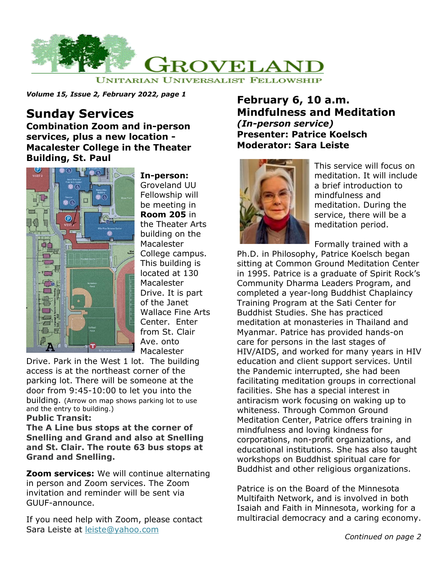

*Volume 15, Issue 2, February 2022, page 1*

## **Sunday Services**

**Combination Zoom and in-person services, plus a new location - Macalester College in the Theater Building, St. Paul**



**In-person:** Groveland UU Fellowship will be meeting in **Room 205** in the Theater Arts building on the Macalester College campus. This building is located at 130 Macalester Drive. It is part of the Janet Wallace Fine Arts Center. Enter from St. Clair Ave. onto Macalester

Drive. Park in the West 1 lot. The building access is at the northeast corner of the parking lot. There will be someone at the door from 9:45-10:00 to let you into the building. (Arrow on map shows parking lot to use and the entry to building.)

### **Public Transit:**

**The A Line bus stops at the corner of Snelling and Grand and also at Snelling and St. Clair. The route 63 bus stops at Grand and Snelling.**

**Zoom services:** We will continue alternating in person and Zoom services. The Zoom invitation and reminder will be sent via GUUF-announce.

If you need help with Zoom, please contact Sara Leiste at [leiste@yahoo.com](mailto:leiste@yahoo.com)

### **February 6, 10 a.m. Mindfulness and Meditation** *(In-person service)* **Presenter: Patrice Koelsch Moderator: Sara Leiste**



This service will focus on meditation. It will include a brief introduction to mindfulness and meditation. During the service, there will be a meditation period.

Formally trained with a

Ph.D. in Philosophy, Patrice Koelsch began sitting at Common Ground Meditation Center in 1995. Patrice is a graduate of Spirit Rock's Community Dharma Leaders Program, and completed a year-long Buddhist Chaplaincy Training Program at the Sati Center for Buddhist Studies. She has practiced meditation at monasteries in Thailand and Myanmar. Patrice has provided hands-on care for persons in the last stages of HIV/AIDS, and worked for many years in HIV education and client support services. Until the Pandemic interrupted, she had been facilitating meditation groups in correctional facilities. She has a special interest in antiracism work focusing on waking up to whiteness. Through Common Ground Meditation Center, Patrice offers training in mindfulness and loving kindness for corporations, non-profit organizations, and educational institutions. She has also taught workshops on Buddhist spiritual care for Buddhist and other religious organizations.

Patrice is on the Board of the Minnesota Multifaith Network, and is involved in both Isaiah and Faith in Minnesota, working for a multiracial democracy and a caring economy.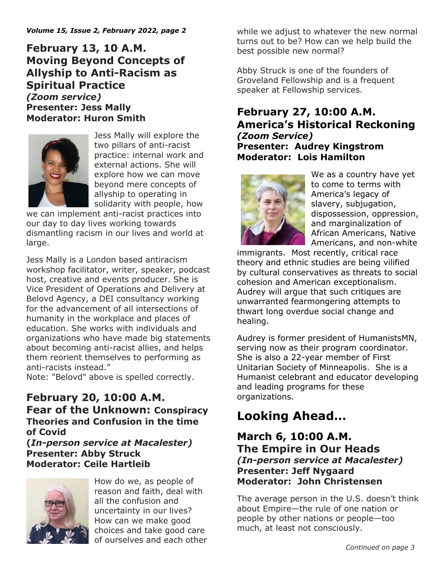**February 13, 10 A.M. Moving Beyond Concepts of Allyship to Anti-Racism as Spiritual Practice** *(Zoom service)* **Presenter: Jess Mally Moderator: Huron Smith**



Jess Mally will explore the two pillars of anti-racist practice: internal work and external actions. She will explore how we can move beyond mere concepts of allyship to operating in solidarity with people, how

we can implement anti-racist practices into our day to day lives working towards dismantling racism in our lives and world at large.

Jess Mally is a London based antiracism workshop facilitator, writer, speaker, podcast host, creative and events producer. She is Vice President of Operations and Delivery at Belovd Agency, a DEI consultancy working for the advancement of all intersections of humanity in the workplace and places of education. She works with individuals and organizations who have made big statements about becoming anti-racist allies, and helps them reorient themselves to performing as anti-racists instead."

Note: "Belovd" above is spelled correctly.

**February 20, 10:00 A.M. Fear of the Unknown: Conspiracy Theories and Confusion in the time of Covid**

**(***In-person service at Macalester)* **Presenter: Abby Struck Moderator: Ceile Hartleib**



How do we, as people of reason and faith, deal with all the confusion and uncertainty in our lives? How can we make good choices and take good care of ourselves and each other while we adjust to whatever the new normal turns out to be? How can we help build the best possible new normal?

Abby Struck is one of the founders of Groveland Fellowship and is a frequent speaker at Fellowship services.

### **February 27, 10:00 A.M. America's Historical Reckoning** *(Zoom Service)* **Presenter: Audrey Kingstrom**

**Moderator: Lois Hamilton**



We as a country have yet to come to terms with America's legacy of slavery, subjugation, dispossession, oppression, and marginalization of African Americans, Native Americans, and non-white

immigrants. Most recently, critical race theory and ethnic studies are being vilified by cultural conservatives as threats to social cohesion and American exceptionalism. Audrey will argue that such critiques are unwarranted fearmongering attempts to thwart long overdue social change and healing.

Audrey is former president of HumanistsMN, serving now as their program coordinator. She is also a 22-year member of First Unitarian Society of Minneapolis. She is a Humanist celebrant and educator developing and leading programs for these organizations.

# **Looking Ahead…**

### **March 6, 10:00 A.M. The Empire in Our Heads** *(In-person service at Macalester)* **Presenter: Jeff Nygaard Moderator: John Christensen**

The average person in the U.S. doesn't think about Empire—the rule of one nation or people by other nations or people—too much, at least not consciously.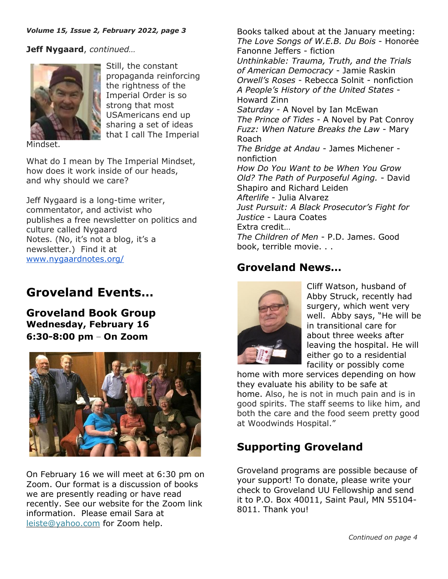#### *Volume 15, Issue 2, February 2022, page 3*

#### **Jeff Nygaard**, *continued…*



Still, the constant propaganda reinforcing the rightness of the Imperial Order is so strong that most USAmericans end up sharing a set of ideas that I call The Imperial

Mindset.

What do I mean by The Imperial Mindset, how does it work inside of our heads, and why should we care?

Jeff Nygaard is a long-time writer, commentator, and activist who publishes a free newsletter on politics and culture called Nygaard Notes. (No, it's not a blog, it's a newsletter.) Find it at [www.nygaardnotes.org/](http://www.nygaardnotes.org/)

## **Groveland Events…**

**Groveland Book Group Wednesday, February 16 6:30-8:00 pm – On Zoom**



On February 16 we will meet at 6:30 pm on Zoom. Our format is a discussion of books we are presently reading or have read recently. See our website for the Zoom link information. Please email Sara at [leiste@yahoo.com](mailto:leiste@yahoo.com) for Zoom help.

Books talked about at the January meeting: *The Love Songs of W.E.B. Du Bois* - Honorėe Fanonne Jeffers - fiction *Unthinkable: Trauma, Truth, and the Trials of American Democracy* - Jamie Raskin *Orwell's Roses* - Rebecca Solnit - nonfiction *A People's History of the United States* - Howard Zinn *Saturday* - A Novel by Ian McEwan *The Prince of Tides* - A Novel by Pat Conroy *Fuzz: When Nature Breaks the Law* - Mary Roach *The Bridge at Andau* - James Michener nonfiction *How Do You Want to be When You Grow Old? The Path of Purposeful Aging.* - David Shapiro and Richard Leiden *Afterlife* - Julia Alvarez *Just Pursuit: A Black Prosecutor's Fight for Justice* - Laura Coates Extra credit… *The Children of Men* - P.D. James. Good book, terrible movie. . .

### **Groveland News…**



Cliff Watson, husband of Abby Struck, recently had surgery, which went very well. Abby says, "He will be in transitional care for about three weeks after leaving the hospital. He will either go to a residential facility or possibly come

home with more services depending on how they evaluate his ability to be safe at home. Also, he is not in much pain and is in good spirits. The staff seems to like him, and both the care and the food seem pretty good at Woodwinds Hospital."

## **Supporting Groveland**

Groveland programs are possible because of your support! To donate, please write your check to Groveland UU Fellowship and send it to P.O. Box 40011, Saint Paul, MN 55104- 8011. Thank you!